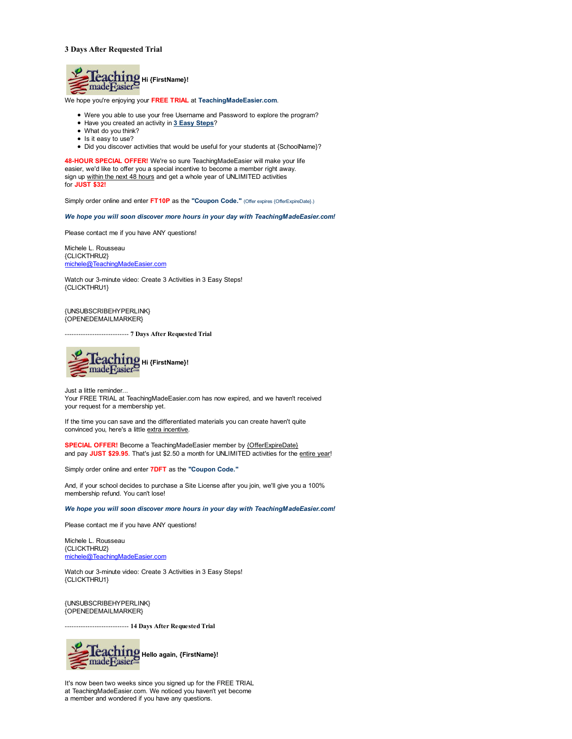## **3 Days After Requested Trial**



We hope you're enjoying your **FREE TRIAL** at **TeachingMadeEasier.com**.

- Were you able to use your free Username and Password to explore the program?
- Have you created an activity in **3 Easy Steps**?
- What do you think?
- Is it easy to use?
- Did you discover activities that would be useful for your students at {SchoolName}?

**48-HOUR SPECIAL OFFER!** We're so sure TeachingMadeEasier will make your life easier, we'd like to offer you a special incentive to become a member right away. sign up within the next 48 hours and get a whole year of UNLIMITED activities for **JUST \$32!**

Simply order online and enter FT10P as the "Coupon Code." (Offer expires {OfferExpireDate}.)

*We hope you will soon discover more hours in your day with TeachingMadeEasier.com!*

Please contact me if you have ANY questions!

Michele L. Rousseau {CLICKTHRU2} michele@TeachingMadeEasier.com

Watch our 3-minute video: Create 3 Activities in 3 Easy Steps! {CLICKTHRU1}

{UNSUBSCRIBEHYPERLINK} {OPENEDEMAILMARKER}

---------------------------- **7 Days After Requested Trial**



Just a little reminder... Your FREE TRIAL at TeachingMadeEasier.com has now expired, and we haven't received your request for a membership yet.

If the time you can save and the differentiated materials you can create haven't quite convinced you, here's a little extra incentive.

**SPECIAL OFFER!** Become a TeachingMadeEasier member by {OfferExpireDate} and pay **JUST \$29.95**. That's just \$2.50 a month for UNLIMITED activities for the entire year!

Simply order online and enter **7DFT** as the **"Coupon Code."**

And, if your school decides to purchase a Site License after you join, we'll give you a 100% membership refund. You can't lose!

*We hope you will soon discover more hours in your day with TeachingMadeEasier.com!*

Please contact me if you have ANY questions!

Michele L. Rousseau {CLICKTHRU2} michele@TeachingMadeEasier.com

Watch our 3-minute video: Create 3 Activities in 3 Easy Steps! {CLICKTHRU1}

{UNSUBSCRIBEHYPERLINK} {OPENEDEMAILMARKER}

---------------------------- **14 Days After Requested Trial**



It's now been two weeks since you signed up for the FREE TRIAL at TeachingMadeEasier.com. We noticed you haven't yet become a member and wondered if you have any questions.